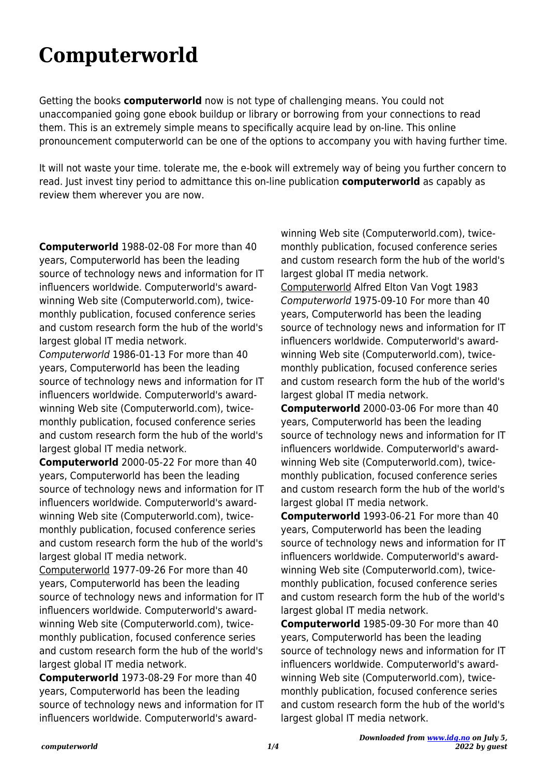## **Computerworld**

Getting the books **computerworld** now is not type of challenging means. You could not unaccompanied going gone ebook buildup or library or borrowing from your connections to read them. This is an extremely simple means to specifically acquire lead by on-line. This online pronouncement computerworld can be one of the options to accompany you with having further time.

It will not waste your time. tolerate me, the e-book will extremely way of being you further concern to read. Just invest tiny period to admittance this on-line publication **computerworld** as capably as review them wherever you are now.

**Computerworld** 1988-02-08 For more than 40 years, Computerworld has been the leading source of technology news and information for IT influencers worldwide. Computerworld's awardwinning Web site (Computerworld.com), twicemonthly publication, focused conference series and custom research form the hub of the world's largest global IT media network.

Computerworld 1986-01-13 For more than 40 years, Computerworld has been the leading source of technology news and information for IT influencers worldwide. Computerworld's awardwinning Web site (Computerworld.com), twicemonthly publication, focused conference series and custom research form the hub of the world's largest global IT media network.

**Computerworld** 2000-05-22 For more than 40 years, Computerworld has been the leading source of technology news and information for IT influencers worldwide. Computerworld's awardwinning Web site (Computerworld.com), twicemonthly publication, focused conference series and custom research form the hub of the world's largest global IT media network.

Computerworld 1977-09-26 For more than 40 years, Computerworld has been the leading source of technology news and information for IT influencers worldwide. Computerworld's awardwinning Web site (Computerworld.com), twicemonthly publication, focused conference series and custom research form the hub of the world's largest global IT media network.

**Computerworld** 1973-08-29 For more than 40 years, Computerworld has been the leading source of technology news and information for IT influencers worldwide. Computerworld's awardwinning Web site (Computerworld.com), twicemonthly publication, focused conference series and custom research form the hub of the world's largest global IT media network. Computerworld Alfred Elton Van Vogt 1983 Computerworld 1975-09-10 For more than 40

years, Computerworld has been the leading source of technology news and information for IT influencers worldwide. Computerworld's awardwinning Web site (Computerworld.com), twicemonthly publication, focused conference series and custom research form the hub of the world's largest global IT media network.

**Computerworld** 2000-03-06 For more than 40 years, Computerworld has been the leading source of technology news and information for IT influencers worldwide. Computerworld's awardwinning Web site (Computerworld.com), twicemonthly publication, focused conference series and custom research form the hub of the world's largest global IT media network.

**Computerworld** 1993-06-21 For more than 40 years, Computerworld has been the leading source of technology news and information for IT influencers worldwide. Computerworld's awardwinning Web site (Computerworld.com), twicemonthly publication, focused conference series and custom research form the hub of the world's largest global IT media network.

**Computerworld** 1985-09-30 For more than 40 years, Computerworld has been the leading source of technology news and information for IT influencers worldwide. Computerworld's awardwinning Web site (Computerworld.com), twicemonthly publication, focused conference series and custom research form the hub of the world's largest global IT media network.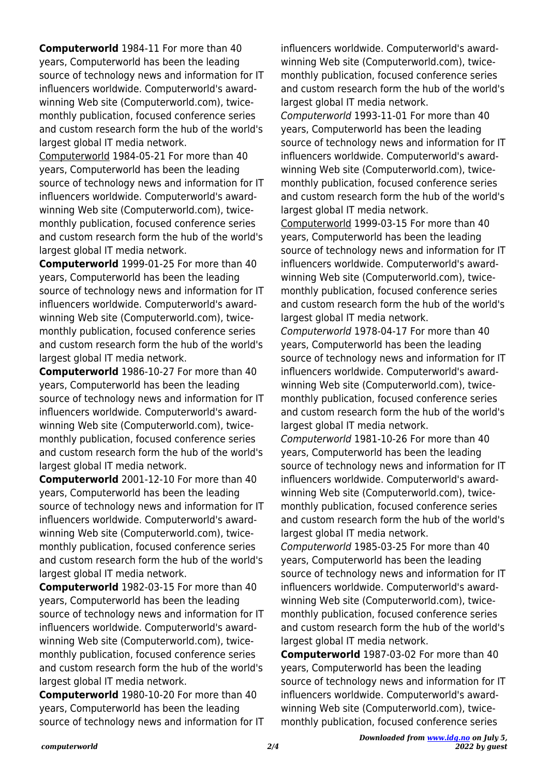**Computerworld** 1984-11 For more than 40 years, Computerworld has been the leading source of technology news and information for IT influencers worldwide. Computerworld's awardwinning Web site (Computerworld.com), twicemonthly publication, focused conference series and custom research form the hub of the world's largest global IT media network.

Computerworld 1984-05-21 For more than 40 years, Computerworld has been the leading source of technology news and information for IT influencers worldwide. Computerworld's awardwinning Web site (Computerworld.com), twicemonthly publication, focused conference series and custom research form the hub of the world's largest global IT media network.

**Computerworld** 1999-01-25 For more than 40 years, Computerworld has been the leading source of technology news and information for IT influencers worldwide. Computerworld's awardwinning Web site (Computerworld.com), twicemonthly publication, focused conference series and custom research form the hub of the world's largest global IT media network.

**Computerworld** 1986-10-27 For more than 40 years, Computerworld has been the leading source of technology news and information for IT influencers worldwide. Computerworld's awardwinning Web site (Computerworld.com), twicemonthly publication, focused conference series and custom research form the hub of the world's largest global IT media network.

**Computerworld** 2001-12-10 For more than 40 years, Computerworld has been the leading source of technology news and information for IT influencers worldwide. Computerworld's awardwinning Web site (Computerworld.com), twicemonthly publication, focused conference series and custom research form the hub of the world's largest global IT media network.

**Computerworld** 1982-03-15 For more than 40 years, Computerworld has been the leading source of technology news and information for IT influencers worldwide. Computerworld's awardwinning Web site (Computerworld.com), twicemonthly publication, focused conference series and custom research form the hub of the world's largest global IT media network.

**Computerworld** 1980-10-20 For more than 40 years, Computerworld has been the leading source of technology news and information for IT influencers worldwide. Computerworld's awardwinning Web site (Computerworld.com), twicemonthly publication, focused conference series and custom research form the hub of the world's largest global IT media network.

Computerworld 1993-11-01 For more than 40 years, Computerworld has been the leading source of technology news and information for IT influencers worldwide. Computerworld's awardwinning Web site (Computerworld.com), twicemonthly publication, focused conference series and custom research form the hub of the world's largest global IT media network.

Computerworld 1999-03-15 For more than 40 years, Computerworld has been the leading source of technology news and information for IT influencers worldwide. Computerworld's awardwinning Web site (Computerworld.com), twicemonthly publication, focused conference series and custom research form the hub of the world's largest global IT media network.

Computerworld 1978-04-17 For more than 40 years, Computerworld has been the leading source of technology news and information for IT influencers worldwide. Computerworld's awardwinning Web site (Computerworld.com), twicemonthly publication, focused conference series and custom research form the hub of the world's largest global IT media network.

Computerworld 1981-10-26 For more than 40 years, Computerworld has been the leading source of technology news and information for IT influencers worldwide. Computerworld's awardwinning Web site (Computerworld.com), twicemonthly publication, focused conference series and custom research form the hub of the world's largest global IT media network.

Computerworld 1985-03-25 For more than 40 years, Computerworld has been the leading source of technology news and information for IT influencers worldwide. Computerworld's awardwinning Web site (Computerworld.com), twicemonthly publication, focused conference series and custom research form the hub of the world's largest global IT media network.

**Computerworld** 1987-03-02 For more than 40 years, Computerworld has been the leading source of technology news and information for IT influencers worldwide. Computerworld's awardwinning Web site (Computerworld.com), twicemonthly publication, focused conference series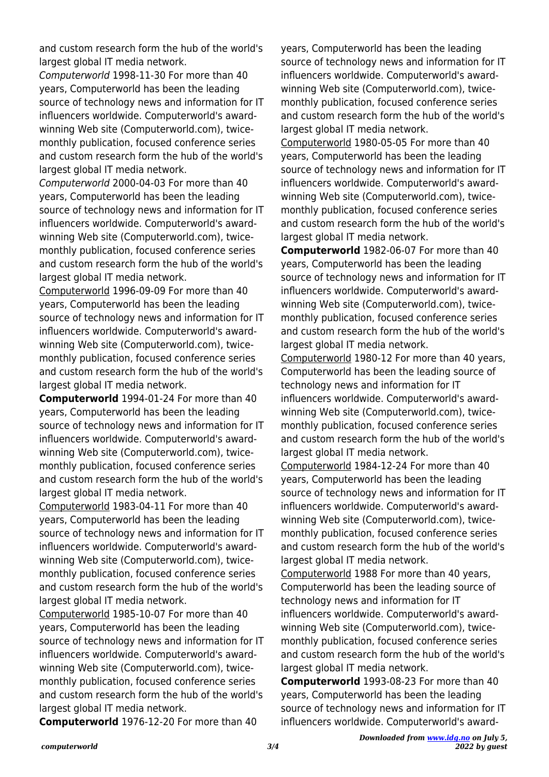and custom research form the hub of the world's largest global IT media network.

Computerworld 1998-11-30 For more than 40 years, Computerworld has been the leading source of technology news and information for IT influencers worldwide. Computerworld's awardwinning Web site (Computerworld.com), twicemonthly publication, focused conference series and custom research form the hub of the world's largest global IT media network.

Computerworld 2000-04-03 For more than 40 years, Computerworld has been the leading source of technology news and information for IT influencers worldwide. Computerworld's awardwinning Web site (Computerworld.com), twicemonthly publication, focused conference series and custom research form the hub of the world's largest global IT media network.

Computerworld 1996-09-09 For more than 40 years, Computerworld has been the leading source of technology news and information for IT influencers worldwide. Computerworld's awardwinning Web site (Computerworld.com), twicemonthly publication, focused conference series and custom research form the hub of the world's largest global IT media network.

**Computerworld** 1994-01-24 For more than 40 years, Computerworld has been the leading source of technology news and information for IT influencers worldwide. Computerworld's awardwinning Web site (Computerworld.com), twicemonthly publication, focused conference series and custom research form the hub of the world's largest global IT media network.

Computerworld 1983-04-11 For more than 40 years, Computerworld has been the leading source of technology news and information for IT influencers worldwide. Computerworld's awardwinning Web site (Computerworld.com), twicemonthly publication, focused conference series and custom research form the hub of the world's largest global IT media network.

Computerworld 1985-10-07 For more than 40 years, Computerworld has been the leading source of technology news and information for IT influencers worldwide. Computerworld's awardwinning Web site (Computerworld.com), twicemonthly publication, focused conference series and custom research form the hub of the world's largest global IT media network.

**Computerworld** 1976-12-20 For more than 40

years, Computerworld has been the leading source of technology news and information for IT influencers worldwide. Computerworld's awardwinning Web site (Computerworld.com), twicemonthly publication, focused conference series and custom research form the hub of the world's largest global IT media network.

Computerworld 1980-05-05 For more than 40 years, Computerworld has been the leading source of technology news and information for IT influencers worldwide. Computerworld's awardwinning Web site (Computerworld.com), twicemonthly publication, focused conference series and custom research form the hub of the world's largest global IT media network.

**Computerworld** 1982-06-07 For more than 40 years, Computerworld has been the leading source of technology news and information for IT influencers worldwide. Computerworld's awardwinning Web site (Computerworld.com), twicemonthly publication, focused conference series and custom research form the hub of the world's largest global IT media network.

Computerworld 1980-12 For more than 40 years, Computerworld has been the leading source of technology news and information for IT influencers worldwide. Computerworld's awardwinning Web site (Computerworld.com), twicemonthly publication, focused conference series and custom research form the hub of the world's largest global IT media network.

Computerworld 1984-12-24 For more than 40 years, Computerworld has been the leading source of technology news and information for IT influencers worldwide. Computerworld's awardwinning Web site (Computerworld.com), twicemonthly publication, focused conference series and custom research form the hub of the world's largest global IT media network.

Computerworld 1988 For more than 40 years, Computerworld has been the leading source of technology news and information for IT influencers worldwide. Computerworld's awardwinning Web site (Computerworld.com), twicemonthly publication, focused conference series and custom research form the hub of the world's largest global IT media network.

**Computerworld** 1993-08-23 For more than 40 years, Computerworld has been the leading source of technology news and information for IT influencers worldwide. Computerworld's award